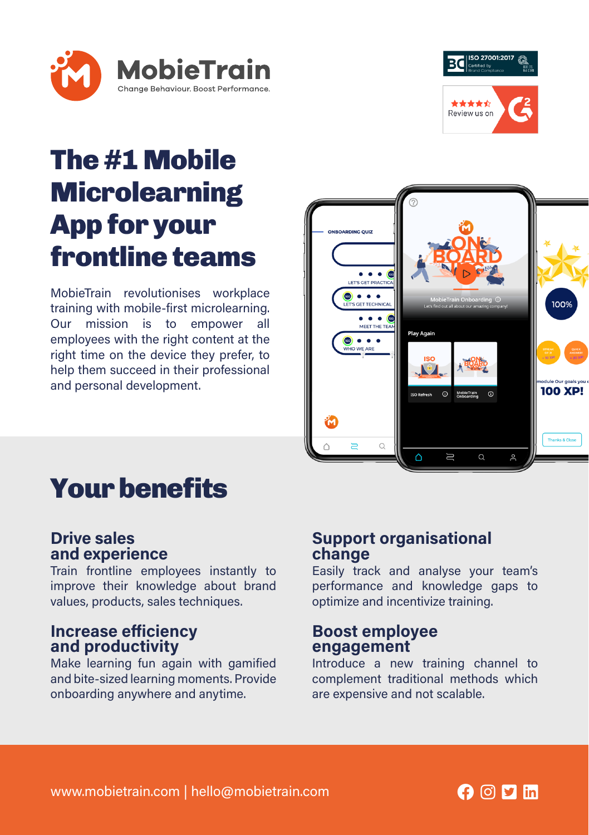



### The #1 Mobile **Microlearning** App for your frontline teams

MobieTrain revolutionises workplace training with mobile-first microlearning. Our mission is to empower all employees with the right content at the right time on the device they prefer, to help them succeed in their professional and personal development.



### Your benefits

#### Drive sales and experience

Train frontline employees instantly to improve their knowledge about brand values, products, sales techniques.

#### Increase efficiency and productivity

Make learning fun again with gamified and bite-sized learning moments. Provide onboarding anywhere and anytime.

#### Support organisational change

Easily track and analyse your team's performance and knowledge gaps to optimize and incentivize training.

#### Boost employee engagement

Introduce a new training channel to complement traditional methods which are expensive and not scalable.